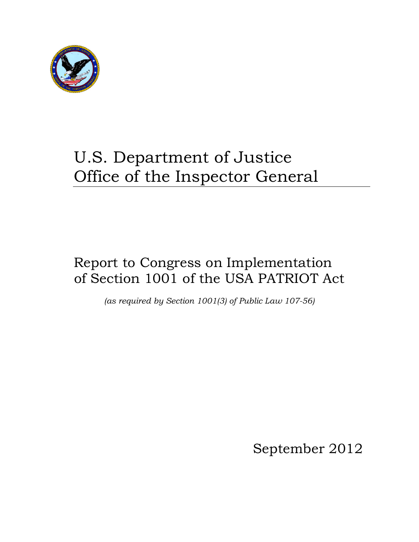

# U.S. Department of Justice Office of the Inspector General

## Report to Congress on Implementation of Section 1001 of the USA PATRIOT Act

*(as required by Section 1001(3) of Public Law 107-56)* 

September 2012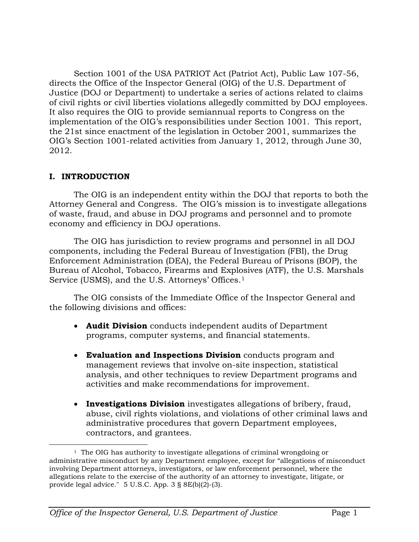Section 1001 of the USA PATRIOT Act (Patriot Act), Public Law 107-56, directs the Office of the Inspector General (OIG) of the U.S. Department of Justice (DOJ or Department) to undertake a series of actions related to claims of civil rights or civil liberties violations allegedly committed by DOJ employees. It also requires the OIG to provide semiannual reports to Congress on the implementation of the OIG's responsibilities under Section 1001. This report, the 21st since enactment of the legislation in October 2001, summarizes the OIG's Section 1001-related activities from January 1, 2012, through June 30, 2012.

## **I. INTRODUCTION**

The OIG is an independent entity within the DOJ that reports to both the Attorney General and Congress. The OIG's mission is to investigate allegations of waste, fraud, and abuse in DOJ programs and personnel and to promote economy and efficiency in DOJ operations.

The OIG has jurisdiction to review programs and personnel in all DOJ components, including the Federal Bureau of Investigation (FBI), the Drug Enforcement Administration (DEA), the Federal Bureau of Prisons (BOP), the Bureau of Alcohol, Tobacco, Firearms and Explosives (ATF), the U.S. Marshals Service (USMS), and the U.S. Attorneys' Offices.<sup>[1](#page-1-0)</sup>

The OIG consists of the Immediate Office of the Inspector General and the following divisions and offices:

- **Audit Division** conducts independent audits of Department programs, computer systems, and financial statements.
- **Evaluation and Inspections Division** conducts program and management reviews that involve on-site inspection, statistical analysis, and other techniques to review Department programs and activities and make recommendations for improvement.
- **Investigations Division** investigates allegations of bribery, fraud, abuse, civil rights violations, and violations of other criminal laws and administrative procedures that govern Department employees, contractors, and grantees.

<span id="page-1-0"></span><sup>&</sup>lt;sup>1</sup> The OIG has authority to investigate allegations of criminal wrongdoing or administrative misconduct by any Department employee, except for "allegations of misconduct involving Department attorneys, investigators, or law enforcement personnel, where the allegations relate to the exercise of the authority of an attorney to investigate, litigate, or provide legal advice." 5 U.S.C. App. 3 § 8E(b)(2)-(3).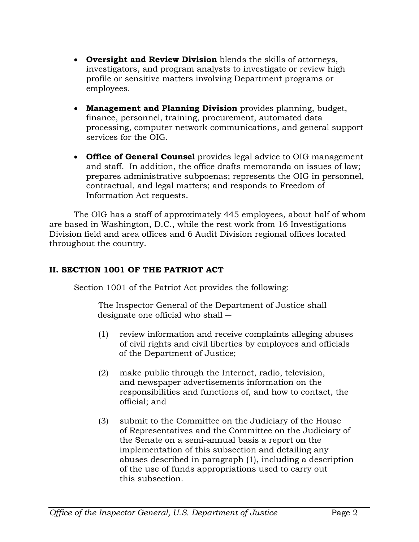- **Oversight and Review Division** blends the skills of attorneys, investigators, and program analysts to investigate or review high profile or sensitive matters involving Department programs or employees.
- **Management and Planning Division** provides planning, budget, finance, personnel, training, procurement, automated data processing, computer network communications, and general support services for the OIG.
- **Office of General Counsel** provides legal advice to OIG management and staff. In addition, the office drafts memoranda on issues of law; prepares administrative subpoenas; represents the OIG in personnel, contractual, and legal matters; and responds to Freedom of Information Act requests.

The OIG has a staff of approximately 445 employees, about half of whom are based in Washington, D.C., while the rest work from 16 Investigations Division field and area offices and 6 Audit Division regional offices located throughout the country.

## **II. SECTION 1001 OF THE PATRIOT ACT**

Section 1001 of the Patriot Act provides the following:

The Inspector General of the Department of Justice shall designate one official who shall ―

- (1) review information and receive complaints alleging abuses of civil rights and civil liberties by employees and officials of the Department of Justice;
- (2) make public through the Internet, radio, television, and newspaper advertisements information on the responsibilities and functions of, and how to contact, the official; and
- (3) submit to the Committee on the Judiciary of the House of Representatives and the Committee on the Judiciary of the Senate on a semi-annual basis a report on the implementation of this subsection and detailing any abuses described in paragraph (1), including a description of the use of funds appropriations used to carry out this subsection.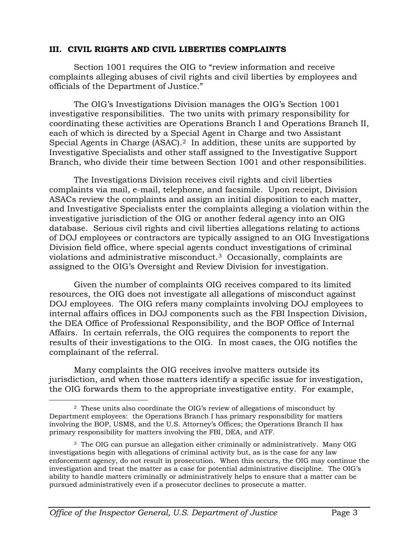## **III. CIVIL RIGHTS AND CIVIL LIBERTIES COMPLAINTS**

Section 1001 requires the OIG to "review information and receive complaints alleging abuses of civil rights and civil liberties by employees and officials of the Department of Justice."

The OIG's Investigations Division manages the OIG's Section 1001 investigative responsibilities. The two units with primary responsibility for coordinating these activities are Operations Branch I and Operations Branch II, each of which is directed by a Special Agent in Charge and two Assistant Special Agents in Charge (ASAC). $^2\,$  $^2\,$  $^2\,$  In addition, these units are supported by Investigative Specialists and other staff assigned to the Investigative Support Branch, who divide their time between Section 1001 and other responsibilities.

The Investigations Division receives civil rights and civil liberties complaints via mail, e-mail, telephone, and facsimile. Upon receipt, Division ASACs review the complaints and assign an initial disposition to each matter, and Investigative Specialists enter the complaints alleging a violation within the investigative jurisdiction of the OIG or another federal agency into an OIG database. Serious civil rights and civil liberties allegations relating to actions of DOJ employees or contractors are typically assigned to an OIG Investigations Division field office, where special agents conduct investigations of criminal violations and administrative misconduct. [3](#page-3-1) Occasionally, complaints are assigned to the OIG's Oversight and Review Division for investigation.

Given the number of complaints OIG receives compared to its limited resources, the OIG does not investigate all allegations of misconduct against DOJ employees. The OIG refers many complaints involving DOJ employees to internal affairs offices in DOJ components such as the FBI Inspection Division, the DEA Office of Professional Responsibility, and the BOP Office of Internal Affairs. In certain referrals, the OIG requires the components to report the results of their investigations to the OIG. In most cases, the OIG notifies the complainant of the referral.

Many complaints the OIG receives involve matters outside its jurisdiction, and when those matters identify a specific issue for investigation, the OIG forwards them to the appropriate investigative entity. For example,

<span id="page-3-0"></span> <sup>2</sup> These units also coordinate the OIG's review of allegations of misconduct by Department employees: the Operations Branch I has primary responsibility for matters involving the BOP, USMS, and the U.S. Attorney's Offices; the Operations Branch II has primary responsibility for matters involving the FBI, DEA, and ATF.

<span id="page-3-1"></span><sup>3</sup> The OIG can pursue an allegation either criminally or administratively. Many OIG investigations begin with allegations of criminal activity but, as is the case for any law enforcement agency, do not result in prosecution. When this occurs, the OIG may continue the investigation and treat the matter as a case for potential administrative discipline. The OIG's ability to handle matters criminally or administratively helps to ensure that a matter can be pursued administratively even if a prosecutor declines to prosecute a matter.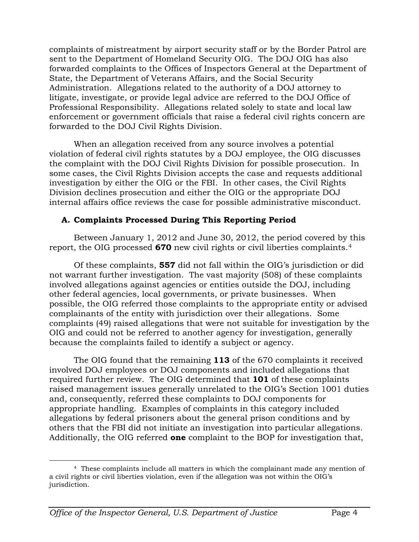complaints of mistreatment by airport security staff or by the Border Patrol are sent to the Department of Homeland Security OIG. The DOJ OIG has also forwarded complaints to the Offices of Inspectors General at the Department of State, the Department of Veterans Affairs, and the Social Security Administration. Allegations related to the authority of a DOJ attorney to litigate, investigate, or provide legal advice are referred to the DOJ Office of Professional Responsibility. Allegations related solely to state and local law enforcement or government officials that raise a federal civil rights concern are forwarded to the DOJ Civil Rights Division.

When an allegation received from any source involves a potential violation of federal civil rights statutes by a DOJ employee, the OIG discusses the complaint with the DOJ Civil Rights Division for possible prosecution. In some cases, the Civil Rights Division accepts the case and requests additional investigation by either the OIG or the FBI. In other cases, the Civil Rights Division declines prosecution and either the OIG or the appropriate DOJ internal affairs office reviews the case for possible administrative misconduct.

## **A. Complaints Processed During This Reporting Period**

Between January 1, 2012 and June 30, 2012, the period covered by this report, the OIG processed **670** new civil rights or civil liberties complaints.[4](#page-4-0)

Of these complaints, **557** did not fall within the OIG's jurisdiction or did not warrant further investigation. The vast majority (508) of these complaints involved allegations against agencies or entities outside the DOJ, including other federal agencies, local governments, or private businesses. When possible, the OIG referred those complaints to the appropriate entity or advised complainants of the entity with jurisdiction over their allegations. Some complaints (49) raised allegations that were not suitable for investigation by the OIG and could not be referred to another agency for investigation, generally because the complaints failed to identify a subject or agency.

The OIG found that the remaining **113** of the 670 complaints it received involved DOJ employees or DOJ components and included allegations that required further review. The OIG determined that **101** of these complaints raised management issues generally unrelated to the OIG's Section 1001 duties and, consequently, referred these complaints to DOJ components for appropriate handling. Examples of complaints in this category included allegations by federal prisoners about the general prison conditions and by others that the FBI did not initiate an investigation into particular allegations. Additionally, the OIG referred **one** complaint to the BOP for investigation that,

<span id="page-4-0"></span> <sup>4</sup> These complaints include all matters in which the complainant made any mention of a civil rights or civil liberties violation, even if the allegation was not within the OIG's jurisdiction.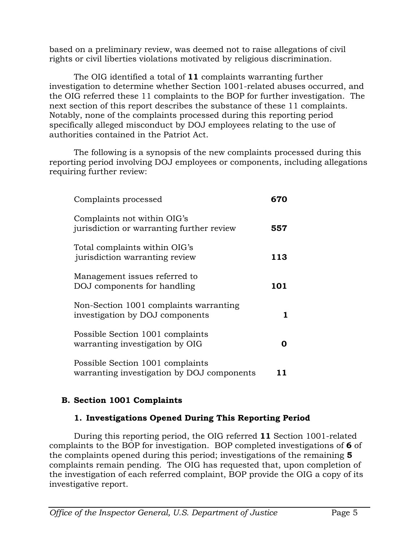based on a preliminary review, was deemed not to raise allegations of civil rights or civil liberties violations motivated by religious discrimination.

The OIG identified a total of **11** complaints warranting further investigation to determine whether Section 1001-related abuses occurred, and the OIG referred these 11 complaints to the BOP for further investigation. The next section of this report describes the substance of these 11 complaints. Notably, none of the complaints processed during this reporting period specifically alleged misconduct by DOJ employees relating to the use of authorities contained in the Patriot Act.

The following is a synopsis of the new complaints processed during this reporting period involving DOJ employees or components, including allegations requiring further review:

| Complaints processed                                                           | 670 |
|--------------------------------------------------------------------------------|-----|
| Complaints not within OIG's<br>jurisdiction or warranting further review       | 557 |
| Total complaints within OIG's<br>jurisdiction warranting review                | 113 |
| Management issues referred to<br>DOJ components for handling                   | 101 |
| Non-Section 1001 complaints warranting<br>investigation by DOJ components      |     |
| Possible Section 1001 complaints<br>warranting investigation by OIG            |     |
| Possible Section 1001 complaints<br>warranting investigation by DOJ components |     |

## **B. Section 1001 Complaints**

## **1. Investigations Opened During This Reporting Period**

During this reporting period, the OIG referred **11** Section 1001-related complaints to the BOP for investigation. BOP completed investigations of **6** of the complaints opened during this period; investigations of the remaining **5** complaints remain pending. The OIG has requested that, upon completion of the investigation of each referred complaint, BOP provide the OIG a copy of its investigative report.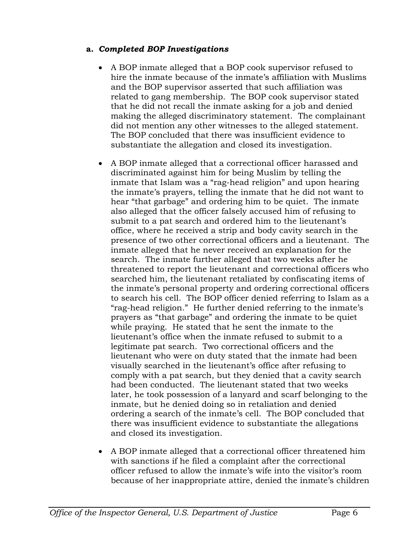## **a.** *Completed BOP Investigations*

- A BOP inmate alleged that a BOP cook supervisor refused to hire the inmate because of the inmate's affiliation with Muslims and the BOP supervisor asserted that such affiliation was related to gang membership. The BOP cook supervisor stated that he did not recall the inmate asking for a job and denied making the alleged discriminatory statement. The complainant did not mention any other witnesses to the alleged statement. The BOP concluded that there was insufficient evidence to substantiate the allegation and closed its investigation.
- A BOP inmate alleged that a correctional officer harassed and discriminated against him for being Muslim by telling the inmate that Islam was a "rag-head religion" and upon hearing the inmate's prayers, telling the inmate that he did not want to hear "that garbage" and ordering him to be quiet. The inmate also alleged that the officer falsely accused him of refusing to submit to a pat search and ordered him to the lieutenant's office, where he received a strip and body cavity search in the presence of two other correctional officers and a lieutenant. The inmate alleged that he never received an explanation for the search. The inmate further alleged that two weeks after he threatened to report the lieutenant and correctional officers who searched him, the lieutenant retaliated by confiscating items of the inmate's personal property and ordering correctional officers to search his cell. The BOP officer denied referring to Islam as a "rag-head religion." He further denied referring to the inmate's prayers as "that garbage" and ordering the inmate to be quiet while praying. He stated that he sent the inmate to the lieutenant's office when the inmate refused to submit to a legitimate pat search. Two correctional officers and the lieutenant who were on duty stated that the inmate had been visually searched in the lieutenant's office after refusing to comply with a pat search, but they denied that a cavity search had been conducted. The lieutenant stated that two weeks later, he took possession of a lanyard and scarf belonging to the inmate, but he denied doing so in retaliation and denied ordering a search of the inmate's cell. The BOP concluded that there was insufficient evidence to substantiate the allegations and closed its investigation.
- A BOP inmate alleged that a correctional officer threatened him with sanctions if he filed a complaint after the correctional officer refused to allow the inmate's wife into the visitor's room because of her inappropriate attire, denied the inmate's children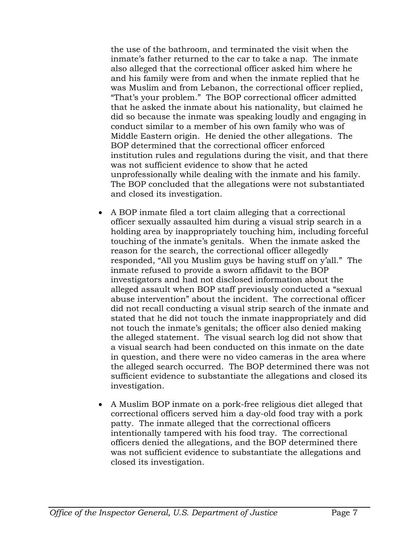the use of the bathroom, and terminated the visit when the inmate's father returned to the car to take a nap. The inmate also alleged that the correctional officer asked him where he and his family were from and when the inmate replied that he was Muslim and from Lebanon, the correctional officer replied, "That's your problem." The BOP correctional officer admitted that he asked the inmate about his nationality, but claimed he did so because the inmate was speaking loudly and engaging in conduct similar to a member of his own family who was of Middle Eastern origin. He denied the other allegations. The BOP determined that the correctional officer enforced institution rules and regulations during the visit, and that there was not sufficient evidence to show that he acted unprofessionally while dealing with the inmate and his family. The BOP concluded that the allegations were not substantiated and closed its investigation.

- A BOP inmate filed a tort claim alleging that a correctional officer sexually assaulted him during a visual strip search in a holding area by inappropriately touching him, including forceful touching of the inmate's genitals. When the inmate asked the reason for the search, the correctional officer allegedly responded, "All you Muslim guys be having stuff on y'all." The inmate refused to provide a sworn affidavit to the BOP investigators and had not disclosed information about the alleged assault when BOP staff previously conducted a "sexual abuse intervention" about the incident. The correctional officer did not recall conducting a visual strip search of the inmate and stated that he did not touch the inmate inappropriately and did not touch the inmate's genitals; the officer also denied making the alleged statement. The visual search log did not show that a visual search had been conducted on this inmate on the date in question, and there were no video cameras in the area where the alleged search occurred. The BOP determined there was not sufficient evidence to substantiate the allegations and closed its investigation.
- A Muslim BOP inmate on a pork-free religious diet alleged that correctional officers served him a day-old food tray with a pork patty. The inmate alleged that the correctional officers intentionally tampered with his food tray. The correctional officers denied the allegations, and the BOP determined there was not sufficient evidence to substantiate the allegations and closed its investigation.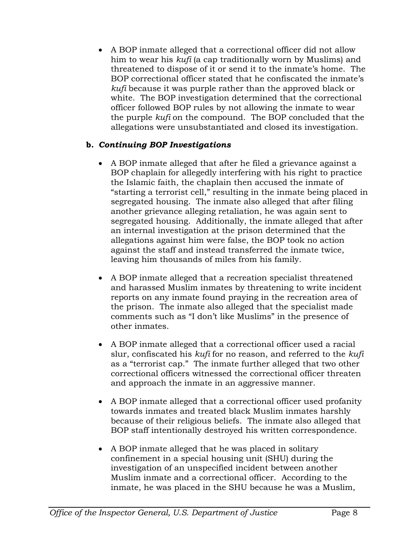• A BOP inmate alleged that a correctional officer did not allow him to wear his *kufi* (a cap traditionally worn by Muslims) and threatened to dispose of it or send it to the inmate's home. The BOP correctional officer stated that he confiscated the inmate's *kufi* because it was purple rather than the approved black or white. The BOP investigation determined that the correctional officer followed BOP rules by not allowing the inmate to wear the purple *kufi* on the compound. The BOP concluded that the allegations were unsubstantiated and closed its investigation.

## **b.** *Continuing BOP Investigations*

- A BOP inmate alleged that after he filed a grievance against a BOP chaplain for allegedly interfering with his right to practice the Islamic faith, the chaplain then accused the inmate of "starting a terrorist cell," resulting in the inmate being placed in segregated housing. The inmate also alleged that after filing another grievance alleging retaliation, he was again sent to segregated housing. Additionally, the inmate alleged that after an internal investigation at the prison determined that the allegations against him were false, the BOP took no action against the staff and instead transferred the inmate twice, leaving him thousands of miles from his family.
- A BOP inmate alleged that a recreation specialist threatened and harassed Muslim inmates by threatening to write incident reports on any inmate found praying in the recreation area of the prison. The inmate also alleged that the specialist made comments such as "I don't like Muslims" in the presence of other inmates.
- A BOP inmate alleged that a correctional officer used a racial slur, confiscated his *kufi* for no reason, and referred to the *kufi* as a "terrorist cap." The inmate further alleged that two other correctional officers witnessed the correctional officer threaten and approach the inmate in an aggressive manner.
- A BOP inmate alleged that a correctional officer used profanity towards inmates and treated black Muslim inmates harshly because of their religious beliefs. The inmate also alleged that BOP staff intentionally destroyed his written correspondence.
- A BOP inmate alleged that he was placed in solitary confinement in a special housing unit (SHU) during the investigation of an unspecified incident between another Muslim inmate and a correctional officer. According to the inmate, he was placed in the SHU because he was a Muslim,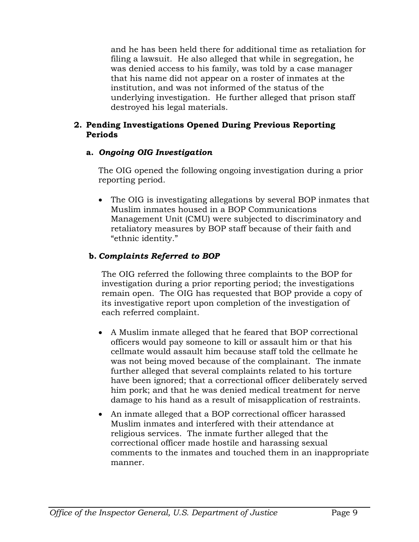and he has been held there for additional time as retaliation for filing a lawsuit. He also alleged that while in segregation, he was denied access to his family, was told by a case manager that his name did not appear on a roster of inmates at the institution, and was not informed of the status of the underlying investigation. He further alleged that prison staff destroyed his legal materials.

## **2. Pending Investigations Opened During Previous Reporting Periods**

## **a.** *Ongoing OIG Investigation*

The OIG opened the following ongoing investigation during a prior reporting period.

• The OIG is investigating allegations by several BOP inmates that Muslim inmates housed in a BOP Communications Management Unit (CMU) were subjected to discriminatory and retaliatory measures by BOP staff because of their faith and "ethnic identity."

## **b.** *Complaints Referred to BOP*

The OIG referred the following three complaints to the BOP for investigation during a prior reporting period; the investigations remain open. The OIG has requested that BOP provide a copy of its investigative report upon completion of the investigation of each referred complaint.

- A Muslim inmate alleged that he feared that BOP correctional officers would pay someone to kill or assault him or that his cellmate would assault him because staff told the cellmate he was not being moved because of the complainant. The inmate further alleged that several complaints related to his torture have been ignored; that a correctional officer deliberately served him pork; and that he was denied medical treatment for nerve damage to his hand as a result of misapplication of restraints.
- An inmate alleged that a BOP correctional officer harassed Muslim inmates and interfered with their attendance at religious services. The inmate further alleged that the correctional officer made hostile and harassing sexual comments to the inmates and touched them in an inappropriate manner.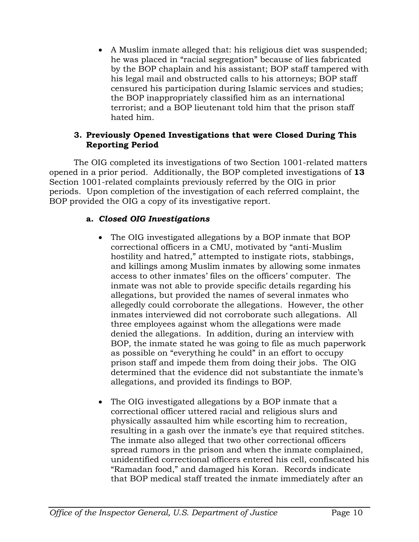• A Muslim inmate alleged that: his religious diet was suspended; he was placed in "racial segregation" because of lies fabricated by the BOP chaplain and his assistant; BOP staff tampered with his legal mail and obstructed calls to his attorneys; BOP staff censured his participation during Islamic services and studies; the BOP inappropriately classified him as an international terrorist; and a BOP lieutenant told him that the prison staff hated him.

## **3. Previously Opened Investigations that were Closed During This Reporting Period**

The OIG completed its investigations of two Section 1001-related matters opened in a prior period. Additionally, the BOP completed investigations of **13** Section 1001-related complaints previously referred by the OIG in prior periods. Upon completion of the investigation of each referred complaint, the BOP provided the OIG a copy of its investigative report.

## **a.** *Closed OIG Investigations*

- The OIG investigated allegations by a BOP inmate that BOP correctional officers in a CMU, motivated by "anti-Muslim hostility and hatred," attempted to instigate riots, stabbings, and killings among Muslim inmates by allowing some inmates access to other inmates' files on the officers' computer. The inmate was not able to provide specific details regarding his allegations, but provided the names of several inmates who allegedly could corroborate the allegations. However, the other inmates interviewed did not corroborate such allegations. All three employees against whom the allegations were made denied the allegations. In addition, during an interview with BOP, the inmate stated he was going to file as much paperwork as possible on "everything he could" in an effort to occupy prison staff and impede them from doing their jobs. The OIG determined that the evidence did not substantiate the inmate's allegations, and provided its findings to BOP.
- The OIG investigated allegations by a BOP inmate that a correctional officer uttered racial and religious slurs and physically assaulted him while escorting him to recreation, resulting in a gash over the inmate's eye that required stitches. The inmate also alleged that two other correctional officers spread rumors in the prison and when the inmate complained, unidentified correctional officers entered his cell, confiscated his "Ramadan food," and damaged his Koran. Records indicate that BOP medical staff treated the inmate immediately after an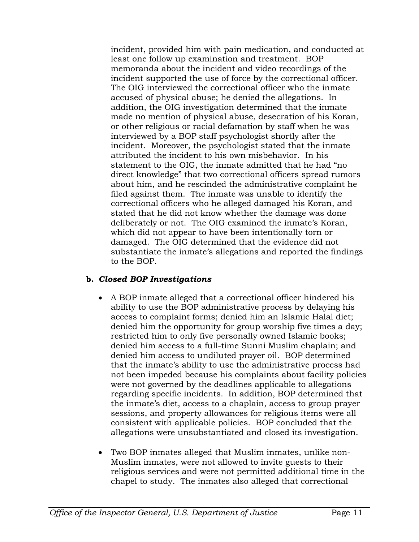incident, provided him with pain medication, and conducted at least one follow up examination and treatment. BOP memoranda about the incident and video recordings of the incident supported the use of force by the correctional officer. The OIG interviewed the correctional officer who the inmate accused of physical abuse; he denied the allegations. In addition, the OIG investigation determined that the inmate made no mention of physical abuse, desecration of his Koran, or other religious or racial defamation by staff when he was interviewed by a BOP staff psychologist shortly after the incident. Moreover, the psychologist stated that the inmate attributed the incident to his own misbehavior. In his statement to the OIG, the inmate admitted that he had "no direct knowledge" that two correctional officers spread rumors about him, and he rescinded the administrative complaint he filed against them. The inmate was unable to identify the correctional officers who he alleged damaged his Koran, and stated that he did not know whether the damage was done deliberately or not. The OIG examined the inmate's Koran, which did not appear to have been intentionally torn or damaged. The OIG determined that the evidence did not substantiate the inmate's allegations and reported the findings to the BOP.

## **b.** *Closed BOP Investigations*

- A BOP inmate alleged that a correctional officer hindered his ability to use the BOP administrative process by delaying his access to complaint forms; denied him an Islamic Halal diet; denied him the opportunity for group worship five times a day; restricted him to only five personally owned Islamic books; denied him access to a full-time Sunni Muslim chaplain; and denied him access to undiluted prayer oil. BOP determined that the inmate's ability to use the administrative process had not been impeded because his complaints about facility policies were not governed by the deadlines applicable to allegations regarding specific incidents. In addition, BOP determined that the inmate's diet, access to a chaplain, access to group prayer sessions, and property allowances for religious items were all consistent with applicable policies. BOP concluded that the allegations were unsubstantiated and closed its investigation.
- Two BOP inmates alleged that Muslim inmates, unlike non-Muslim inmates, were not allowed to invite guests to their religious services and were not permitted additional time in the chapel to study. The inmates also alleged that correctional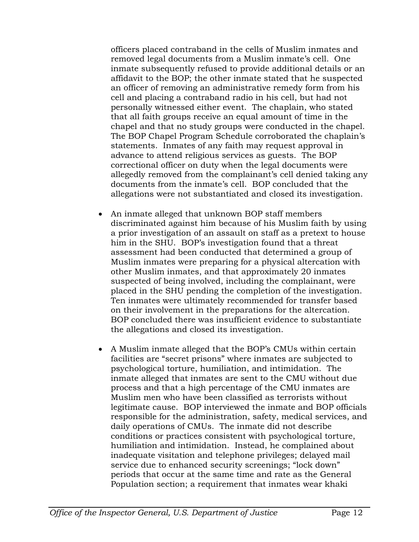officers placed contraband in the cells of Muslim inmates and removed legal documents from a Muslim inmate's cell. One inmate subsequently refused to provide additional details or an affidavit to the BOP; the other inmate stated that he suspected an officer of removing an administrative remedy form from his cell and placing a contraband radio in his cell, but had not personally witnessed either event. The chaplain, who stated that all faith groups receive an equal amount of time in the chapel and that no study groups were conducted in the chapel. The BOP Chapel Program Schedule corroborated the chaplain's statements. Inmates of any faith may request approval in advance to attend religious services as guests. The BOP correctional officer on duty when the legal documents were allegedly removed from the complainant's cell denied taking any documents from the inmate's cell. BOP concluded that the allegations were not substantiated and closed its investigation.

- An inmate alleged that unknown BOP staff members discriminated against him because of his Muslim faith by using a prior investigation of an assault on staff as a pretext to house him in the SHU. BOP's investigation found that a threat assessment had been conducted that determined a group of Muslim inmates were preparing for a physical altercation with other Muslim inmates, and that approximately 20 inmates suspected of being involved, including the complainant, were placed in the SHU pending the completion of the investigation. Ten inmates were ultimately recommended for transfer based on their involvement in the preparations for the altercation. BOP concluded there was insufficient evidence to substantiate the allegations and closed its investigation.
- A Muslim inmate alleged that the BOP's CMUs within certain facilities are "secret prisons" where inmates are subjected to psychological torture, humiliation, and intimidation. The inmate alleged that inmates are sent to the CMU without due process and that a high percentage of the CMU inmates are Muslim men who have been classified as terrorists without legitimate cause. BOP interviewed the inmate and BOP officials responsible for the administration, safety, medical services, and daily operations of CMUs. The inmate did not describe conditions or practices consistent with psychological torture, humiliation and intimidation. Instead, he complained about inadequate visitation and telephone privileges; delayed mail service due to enhanced security screenings; "lock down" periods that occur at the same time and rate as the General Population section; a requirement that inmates wear khaki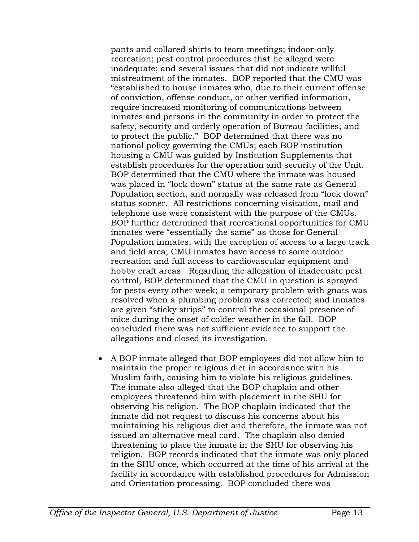pants and collared shirts to team meetings; indoor-only recreation; pest control procedures that he alleged were inadequate; and several issues that did not indicate willful mistreatment of the inmates. BOP reported that the CMU was "established to house inmates who, due to their current offense of conviction, offense conduct, or other verified information, require increased monitoring of communications between inmates and persons in the community in order to protect the safety, security and orderly operation of Bureau facilities, and to protect the public." BOP determined that there was no national policy governing the CMUs; each BOP institution housing a CMU was guided by Institution Supplements that establish procedures for the operation and security of the Unit. BOP determined that the CMU where the inmate was housed was placed in "lock down" status at the same rate as General Population section, and normally was released from "lock down" status sooner. All restrictions concerning visitation, mail and telephone use were consistent with the purpose of the CMUs. BOP further determined that recreational opportunities for CMU inmates were "essentially the same" as those for General Population inmates, with the exception of access to a large track and field area; CMU inmates have access to some outdoor recreation and full access to cardiovascular equipment and hobby craft areas. Regarding the allegation of inadequate pest control, BOP determined that the CMU in question is sprayed for pests every other week; a temporary problem with gnats was resolved when a plumbing problem was corrected; and inmates are given "sticky strips" to control the occasional presence of mice during the onset of colder weather in the fall. BOP concluded there was not sufficient evidence to support the allegations and closed its investigation.

• A BOP inmate alleged that BOP employees did not allow him to maintain the proper religious diet in accordance with his Muslim faith, causing him to violate his religious guidelines. The inmate also alleged that the BOP chaplain and other employees threatened him with placement in the SHU for observing his religion. The BOP chaplain indicated that the inmate did not request to discuss his concerns about his maintaining his religious diet and therefore, the inmate was not issued an alternative meal card. The chaplain also denied threatening to place the inmate in the SHU for observing his religion. BOP records indicated that the inmate was only placed in the SHU once, which occurred at the time of his arrival at the facility in accordance with established procedures for Admission and Orientation processing. BOP concluded there was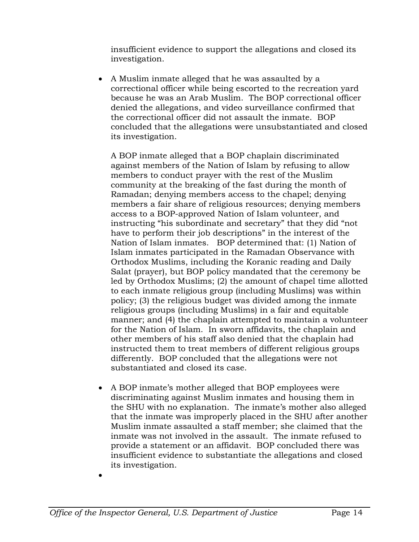insufficient evidence to support the allegations and closed its investigation.

• A Muslim inmate alleged that he was assaulted by a correctional officer while being escorted to the recreation yard because he was an Arab Muslim. The BOP correctional officer denied the allegations, and video surveillance confirmed that the correctional officer did not assault the inmate. BOP concluded that the allegations were unsubstantiated and closed its investigation.

A BOP inmate alleged that a BOP chaplain discriminated against members of the Nation of Islam by refusing to allow members to conduct prayer with the rest of the Muslim community at the breaking of the fast during the month of Ramadan; denying members access to the chapel; denying members a fair share of religious resources; denying members access to a BOP-approved Nation of Islam volunteer, and instructing "his subordinate and secretary" that they did "not have to perform their job descriptions" in the interest of the Nation of Islam inmates. BOP determined that: (1) Nation of Islam inmates participated in the Ramadan Observance with Orthodox Muslims, including the Koranic reading and Daily Salat (prayer), but BOP policy mandated that the ceremony be led by Orthodox Muslims; (2) the amount of chapel time allotted to each inmate religious group (including Muslims) was within policy; (3) the religious budget was divided among the inmate religious groups (including Muslims) in a fair and equitable manner; and (4) the chaplain attempted to maintain a volunteer for the Nation of Islam. In sworn affidavits, the chaplain and other members of his staff also denied that the chaplain had instructed them to treat members of different religious groups differently. BOP concluded that the allegations were not substantiated and closed its case.

- A BOP inmate's mother alleged that BOP employees were discriminating against Muslim inmates and housing them in the SHU with no explanation. The inmate's mother also alleged that the inmate was improperly placed in the SHU after another Muslim inmate assaulted a staff member; she claimed that the inmate was not involved in the assault. The inmate refused to provide a statement or an affidavit. BOP concluded there was insufficient evidence to substantiate the allegations and closed its investigation.
- •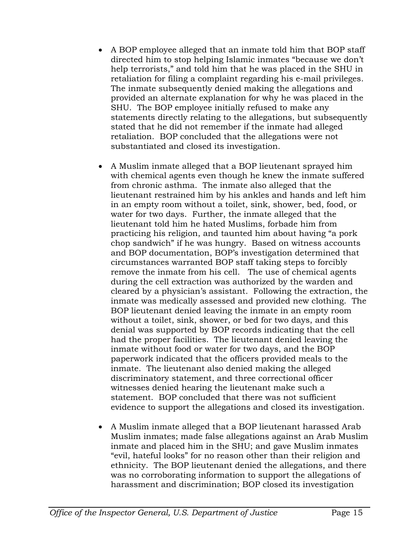- A BOP employee alleged that an inmate told him that BOP staff directed him to stop helping Islamic inmates "because we don't help terrorists," and told him that he was placed in the SHU in retaliation for filing a complaint regarding his e-mail privileges. The inmate subsequently denied making the allegations and provided an alternate explanation for why he was placed in the SHU. The BOP employee initially refused to make any statements directly relating to the allegations, but subsequently stated that he did not remember if the inmate had alleged retaliation. BOP concluded that the allegations were not substantiated and closed its investigation.
- A Muslim inmate alleged that a BOP lieutenant sprayed him with chemical agents even though he knew the inmate suffered from chronic asthma. The inmate also alleged that the lieutenant restrained him by his ankles and hands and left him in an empty room without a toilet, sink, shower, bed, food, or water for two days. Further, the inmate alleged that the lieutenant told him he hated Muslims, forbade him from practicing his religion, and taunted him about having "a pork chop sandwich" if he was hungry. Based on witness accounts and BOP documentation, BOP's investigation determined that circumstances warranted BOP staff taking steps to forcibly remove the inmate from his cell. The use of chemical agents during the cell extraction was authorized by the warden and cleared by a physician's assistant. Following the extraction, the inmate was medically assessed and provided new clothing. The BOP lieutenant denied leaving the inmate in an empty room without a toilet, sink, shower, or bed for two days, and this denial was supported by BOP records indicating that the cell had the proper facilities. The lieutenant denied leaving the inmate without food or water for two days, and the BOP paperwork indicated that the officers provided meals to the inmate. The lieutenant also denied making the alleged discriminatory statement, and three correctional officer witnesses denied hearing the lieutenant make such a statement. BOP concluded that there was not sufficient evidence to support the allegations and closed its investigation.
- A Muslim inmate alleged that a BOP lieutenant harassed Arab Muslim inmates; made false allegations against an Arab Muslim inmate and placed him in the SHU; and gave Muslim inmates "evil, hateful looks" for no reason other than their religion and ethnicity. The BOP lieutenant denied the allegations, and there was no corroborating information to support the allegations of harassment and discrimination; BOP closed its investigation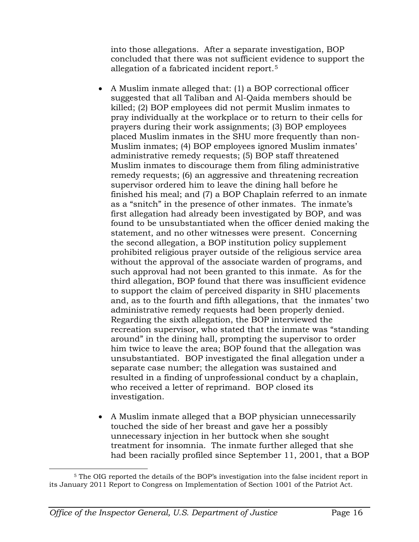into those allegations. After a separate investigation, BOP concluded that there was not sufficient evidence to support the allegation of a fabricated incident report.[5](#page-16-0)

- A Muslim inmate alleged that: (1) a BOP correctional officer suggested that all Taliban and Al-Qaida members should be killed; (2) BOP employees did not permit Muslim inmates to pray individually at the workplace or to return to their cells for prayers during their work assignments; (3) BOP employees placed Muslim inmates in the SHU more frequently than non-Muslim inmates; (4) BOP employees ignored Muslim inmates' administrative remedy requests; (5) BOP staff threatened Muslim inmates to discourage them from filing administrative remedy requests; (6) an aggressive and threatening recreation supervisor ordered him to leave the dining hall before he finished his meal; and (7) a BOP Chaplain referred to an inmate as a "snitch" in the presence of other inmates. The inmate's first allegation had already been investigated by BOP, and was found to be unsubstantiated when the officer denied making the statement, and no other witnesses were present. Concerning the second allegation, a BOP institution policy supplement prohibited religious prayer outside of the religious service area without the approval of the associate warden of programs, and such approval had not been granted to this inmate. As for the third allegation, BOP found that there was insufficient evidence to support the claim of perceived disparity in SHU placements and, as to the fourth and fifth allegations, that the inmates' two administrative remedy requests had been properly denied. Regarding the sixth allegation, the BOP interviewed the recreation supervisor, who stated that the inmate was "standing around" in the dining hall, prompting the supervisor to order him twice to leave the area; BOP found that the allegation was unsubstantiated. BOP investigated the final allegation under a separate case number; the allegation was sustained and resulted in a finding of unprofessional conduct by a chaplain, who received a letter of reprimand. BOP closed its investigation.
- A Muslim inmate alleged that a BOP physician unnecessarily touched the side of her breast and gave her a possibly unnecessary injection in her buttock when she sought treatment for insomnia. The inmate further alleged that she had been racially profiled since September 11, 2001, that a BOP

<span id="page-16-0"></span> <sup>5</sup> The OIG reported the details of the BOP's investigation into the false incident report in its January 2011 Report to Congress on Implementation of Section 1001 of the Patriot Act.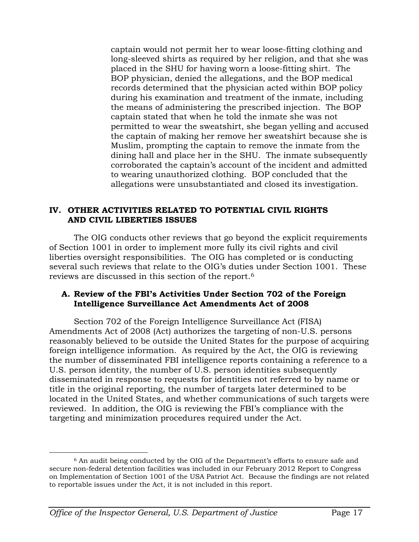captain would not permit her to wear loose-fitting clothing and long-sleeved shirts as required by her religion, and that she was placed in the SHU for having worn a loose-fitting shirt. The BOP physician, denied the allegations, and the BOP medical records determined that the physician acted within BOP policy during his examination and treatment of the inmate, including the means of administering the prescribed injection. The BOP captain stated that when he told the inmate she was not permitted to wear the sweatshirt, she began yelling and accused the captain of making her remove her sweatshirt because she is Muslim, prompting the captain to remove the inmate from the dining hall and place her in the SHU. The inmate subsequently corroborated the captain's account of the incident and admitted to wearing unauthorized clothing. BOP concluded that the allegations were unsubstantiated and closed its investigation.

## **IV. OTHER ACTIVITIES RELATED TO POTENTIAL CIVIL RIGHTS AND CIVIL LIBERTIES ISSUES**

The OIG conducts other reviews that go beyond the explicit requirements of Section 1001 in order to implement more fully its civil rights and civil liberties oversight responsibilities. The OIG has completed or is conducting several such reviews that relate to the OIG's duties under Section 1001. These reviews are discussed in this section of the report.[6](#page-17-0)

#### **A. Review of the FBI's Activities Under Section 702 of the Foreign Intelligence Surveillance Act Amendments Act of 2008**

Section 702 of the Foreign Intelligence Surveillance Act (FISA) Amendments Act of 2008 (Act) authorizes the targeting of non-U.S. persons reasonably believed to be outside the United States for the purpose of acquiring foreign intelligence information. As required by the Act, the OIG is reviewing the number of disseminated FBI intelligence reports containing a reference to a U.S. person identity, the number of U.S. person identities subsequently disseminated in response to requests for identities not referred to by name or title in the original reporting, the number of targets later determined to be located in the United States, and whether communications of such targets were reviewed. In addition, the OIG is reviewing the FBI's compliance with the targeting and minimization procedures required under the Act.

<span id="page-17-0"></span> <sup>6</sup> An audit being conducted by the OIG of the Department's efforts to ensure safe and secure non-federal detention facilities was included in our February 2012 Report to Congress on Implementation of Section 1001 of the USA Patriot Act. Because the findings are not related to reportable issues under the Act, it is not included in this report.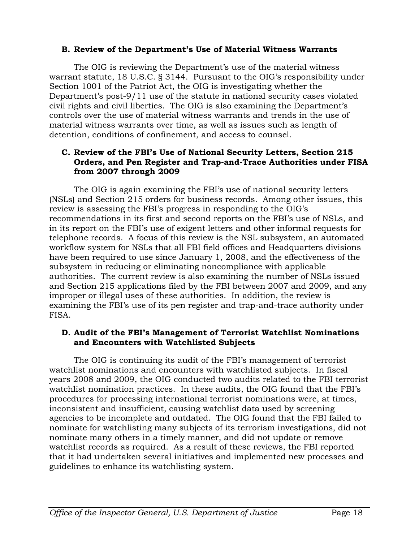## **B. Review of the Department's Use of Material Witness Warrants**

The OIG is reviewing the Department's use of the material witness warrant statute, 18 U.S.C. § 3144. Pursuant to the OIG's responsibility under Section 1001 of the Patriot Act, the OIG is investigating whether the Department's post-9/11 use of the statute in national security cases violated civil rights and civil liberties. The OIG is also examining the Department's controls over the use of material witness warrants and trends in the use of material witness warrants over time, as well as issues such as length of detention, conditions of confinement, and access to counsel.

#### **C. Review of the FBI's Use of National Security Letters, Section 215 Orders, and Pen Register and Trap-and-Trace Authorities under FISA from 2007 through 2009**

The OIG is again examining the FBI's use of national security letters (NSLs) and Section 215 orders for business records. Among other issues, this review is assessing the FBI's progress in responding to the OIG's recommendations in its first and second reports on the FBI's use of NSLs, and in its report on the FBI's use of exigent letters and other informal requests for telephone records. A focus of this review is the NSL subsystem, an automated workflow system for NSLs that all FBI field offices and Headquarters divisions have been required to use since January 1, 2008, and the effectiveness of the subsystem in reducing or eliminating noncompliance with applicable authorities. The current review is also examining the number of NSLs issued and Section 215 applications filed by the FBI between 2007 and 2009, and any improper or illegal uses of these authorities. In addition, the review is examining the FBI's use of its pen register and trap-and-trace authority under FISA.

#### **D. Audit of the FBI's Management of Terrorist Watchlist Nominations and Encounters with Watchlisted Subjects**

The OIG is continuing its audit of the FBI's management of terrorist watchlist nominations and encounters with watchlisted subjects. In fiscal years 2008 and 2009, the OIG conducted two audits related to the FBI terrorist watchlist nomination practices. In these audits, the OIG found that the FBI's procedures for processing international terrorist nominations were, at times, inconsistent and insufficient, causing watchlist data used by screening agencies to be incomplete and outdated. The OIG found that the FBI failed to nominate for watchlisting many subjects of its terrorism investigations, did not nominate many others in a timely manner, and did not update or remove watchlist records as required. As a result of these reviews, the FBI reported that it had undertaken several initiatives and implemented new processes and guidelines to enhance its watchlisting system.